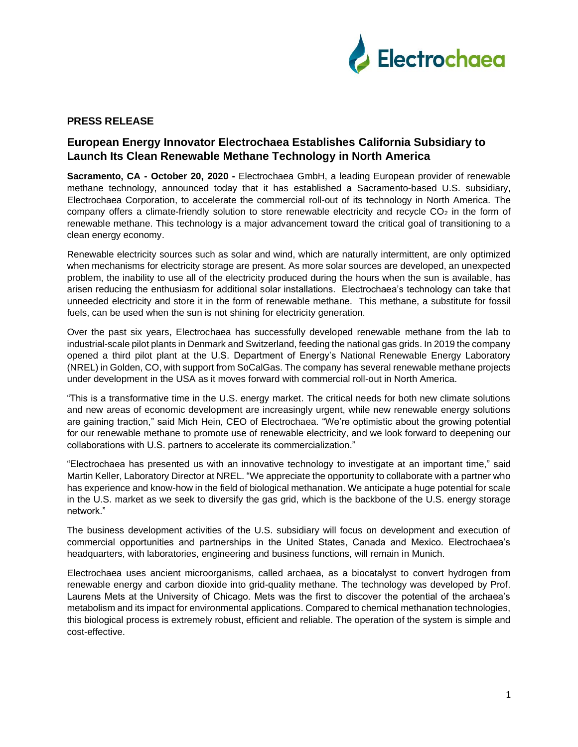

## **PRESS RELEASE**

## **European Energy Innovator Electrochaea Establishes California Subsidiary to Launch Its Clean Renewable Methane Technology in North America**

**Sacramento, CA - October 20, 2020 -** Electrochaea GmbH, a leading European provider of renewable methane technology, announced today that it has established a Sacramento-based U.S. subsidiary, Electrochaea Corporation, to accelerate the commercial roll-out of its technology in North America. The company offers a climate-friendly solution to store renewable electricity and recycle  $CO<sub>2</sub>$  in the form of renewable methane. This technology is a major advancement toward the critical goal of transitioning to a clean energy economy.

Renewable electricity sources such as solar and wind, which are naturally intermittent, are only optimized when mechanisms for electricity storage are present. As more solar sources are developed, an unexpected problem, the inability to use all of the electricity produced during the hours when the sun is available, has arisen reducing the enthusiasm for additional solar installations. Electrochaea's technology can take that unneeded electricity and store it in the form of renewable methane. This methane, a substitute for fossil fuels, can be used when the sun is not shining for electricity generation.

Over the past six years, Electrochaea has successfully developed renewable methane from the lab to industrial-scale pilot plants in Denmark and Switzerland, feeding the national gas grids. In 2019 the company opened a third pilot plant at the U.S. Department of Energy's National Renewable Energy Laboratory (NREL) in Golden, CO, with support from SoCalGas. The company has several renewable methane projects under development in the USA as it moves forward with commercial roll-out in North America.

"This is a transformative time in the U.S. energy market. The critical needs for both new climate solutions and new areas of economic development are increasingly urgent, while new renewable energy solutions are gaining traction," said Mich Hein, CEO of Electrochaea. "We're optimistic about the growing potential for our renewable methane to promote use of renewable electricity, and we look forward to deepening our collaborations with U.S. partners to accelerate its commercialization."

"Electrochaea has presented us with an innovative technology to investigate at an important time," said Martin Keller, Laboratory Director at NREL. "We appreciate the opportunity to collaborate with a partner who has experience and know-how in the field of biological methanation. We anticipate a huge potential for scale in the U.S. market as we seek to diversify the gas grid, which is the backbone of the U.S. energy storage network."

The business development activities of the U.S. subsidiary will focus on development and execution of commercial opportunities and partnerships in the United States, Canada and Mexico. Electrochaea's headquarters, with laboratories, engineering and business functions, will remain in Munich.

Electrochaea uses ancient microorganisms, called archaea, as a biocatalyst to convert hydrogen from renewable energy and carbon dioxide into grid-quality methane. The technology was developed by Prof. Laurens Mets at the University of Chicago. Mets was the first to discover the potential of the archaea's metabolism and its impact for environmental applications. Compared to chemical methanation technologies, this biological process is extremely robust, efficient and reliable. The operation of the system is simple and cost-effective.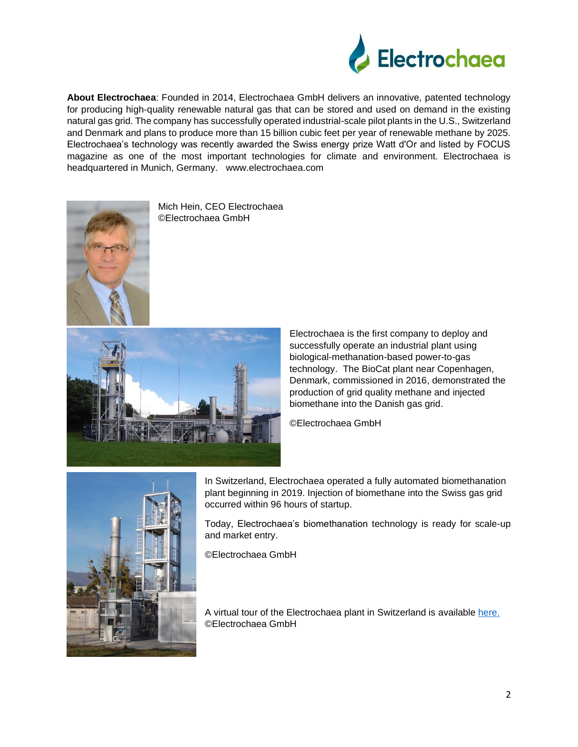

**About Electrochaea**: Founded in 2014, Electrochaea GmbH delivers an innovative, patented technology for producing high-quality renewable natural gas that can be stored and used on demand in the existing natural gas grid. The company has successfully operated industrial-scale pilot plants in the U.S., Switzerland and Denmark and plans to produce more than 15 billion cubic feet per year of renewable methane by 2025. Electrochaea's technology was recently awarded the Swiss energy prize Watt d'Or and listed by FOCUS magazine as one of the most important technologies for climate and environment. Electrochaea is headquartered in Munich, Germany. [www.electrochaea.com](http://www.electrochaea.com/)



Mich Hein, CEO Electrochaea ©Electrochaea GmbH



Electrochaea is the first company to deploy and successfully operate an industrial plant using biological-methanation-based power-to-gas technology. The BioCat plant near Copenhagen, Denmark, commissioned in 2016, demonstrated the production of grid quality methane and injected biomethane into the Danish gas grid.

©Electrochaea GmbH



In Switzerland, Electrochaea operated a fully automated biomethanation plant beginning in 2019. Injection of biomethane into the Swiss gas grid occurred within 96 hours of startup.

Today, Electrochaea's biomethanation technology is ready for scale-up and market entry.

©Electrochaea GmbH

A virtual tour of the Electrochaea plant in Switzerland is available [here.](https://vimeo.com/467436820/86f85c1422) ©Electrochaea GmbH